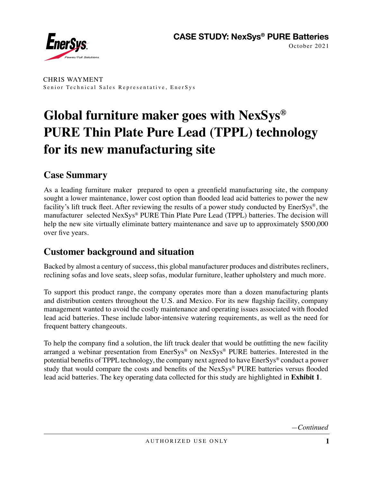

CHRIS WAYMENT Senior Technical Sales Representative, EnerSys

# **Global furniture maker goes with NexSys® PURE Thin Plate Pure Lead (TPPL) technology for its new manufacturing site**

#### **Case Summary**

As a leading furniture maker prepared to open a greenfield manufacturing site, the company sought a lower maintenance, lower cost option than flooded lead acid batteries to power the new facility's lift truck fleet. After reviewing the results of a power study conducted by EnerSys®, the manufacturer selected NexSys® PURE Thin Plate Pure Lead (TPPL) batteries. The decision will help the new site virtually eliminate battery maintenance and save up to approximately \$500,000 over five years.

## **Customer background and situation**

Backed by almost a century of success, this global manufacturer produces and distributes recliners, reclining sofas and love seats, sleep sofas, modular furniture, leather upholstery and much more.

To support this product range, the company operates more than a dozen manufacturing plants and distribution centers throughout the U.S. and Mexico. For its new flagship facility, company management wanted to avoid the costly maintenance and operating issues associated with flooded lead acid batteries. These include labor-intensive watering requirements, as well as the need for frequent battery changeouts.

To help the company find a solution, the lift truck dealer that would be outfitting the new facility arranged a webinar presentation from EnerSys® on NexSys® PURE batteries. Interested in the potential benefits of TPPL technology, the company next agreed to have EnerSys® conduct a power study that would compare the costs and benefits of the NexSys® PURE batteries versus flooded lead acid batteries. The key operating data collected for this study are highlighted in **Exhibit 1**.

*—Continued*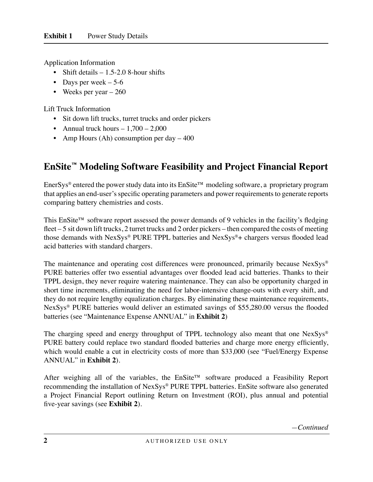Application Information

- Shift details  $-1.5$ -2.0 8-hour shifts
- Days per week  $-5-6$
- Weeks per year 260

Lift Truck Information

- Sit down lift trucks, turret trucks and order pickers
- Annual truck hours  $-1,700 2,000$
- Amp Hours (Ah) consumption per day 400

## **EnSite™ Modeling Software Feasibility and Project Financial Report**

EnerSys® entered the power study data into its EnSite™ modeling software, a proprietary program that applies an end-user's specific operating parameters and power requirements to generate reports comparing battery chemistries and costs.

This EnSite™ software report assessed the power demands of 9 vehicles in the facility's fledging fleet – 5 sit down lift trucks, 2 turret trucks and 2 order pickers – then compared the costs of meeting those demands with NexSys® PURE TPPL batteries and NexSys®+ chargers versus flooded lead acid batteries with standard chargers.

The maintenance and operating cost differences were pronounced, primarily because NexSys<sup>®</sup> PURE batteries offer two essential advantages over flooded lead acid batteries. Thanks to their TPPL design, they never require watering maintenance. They can also be opportunity charged in short time increments, eliminating the need for labor-intensive change-outs with every shift, and they do not require lengthy equalization charges. By eliminating these maintenance requirements, NexSys® PURE batteries would deliver an estimated savings of \$55,280.00 versus the flooded batteries (see "Maintenance Expense ANNUAL" in **Exhibit 2**)

The charging speed and energy throughput of TPPL technology also meant that one NexSys<sup>®</sup> PURE battery could replace two standard flooded batteries and charge more energy efficiently, which would enable a cut in electricity costs of more than \$33,000 (see "Fuel/Energy Expense ANNUAL" in **Exhibit 2**).

After weighing all of the variables, the EnSite™ software produced a Feasibility Report recommending the installation of NexSys® PURE TPPL batteries. EnSite software also generated a Project Financial Report outlining Return on Investment (ROI), plus annual and potential five-year savings (see **Exhibit 2**).

*—Continued*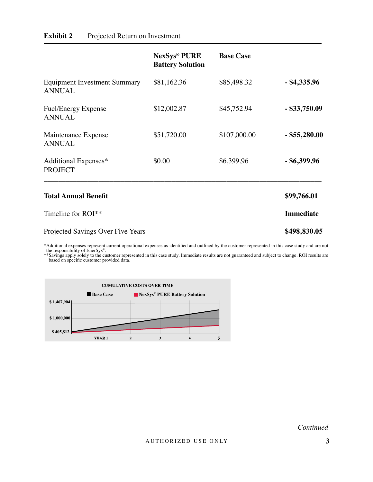|                                                      | <b>NexSys® PURE</b><br><b>Battery Solution</b> | <b>Base Case</b> |                  |
|------------------------------------------------------|------------------------------------------------|------------------|------------------|
| <b>Equipment Investment Summary</b><br><b>ANNUAL</b> | \$81,162.36                                    | \$85,498.32      | $-$ \$4,335.96   |
| <b>Fuel/Energy Expense</b><br><b>ANNUAL</b>          | \$12,002.87                                    | \$45,752.94      | $-$ \$33,750.09  |
| Maintenance Expense<br><b>ANNUAL</b>                 | \$51,720.00                                    | \$107,000.00     | $-$ \$55,280.00  |
| Additional Expenses*<br><b>PROJECT</b>               | \$0.00                                         | \$6,399.96       | $-$ \$6,399.96   |
| <b>Total Annual Benefit</b>                          |                                                |                  | \$99,766.01      |
| Timeline for ROI**                                   |                                                |                  | <b>Immediate</b> |
| Projected Savings Over Five Years                    |                                                |                  | \$498,830.05     |
| $-4$ $-1$ $-1$ $-1$ $-1$                             |                                                |                  |                  |

\*Additional expenses represent current operational expenses as identified and outlined by the customer represented in this case study and are not the responsibility of EnerSys®.

\*\*Savings apply solely to the customer represented in this case study. Immediate results are not guaranteed and subject to change. ROI results are based on specific customer provided data.



*—Continued*